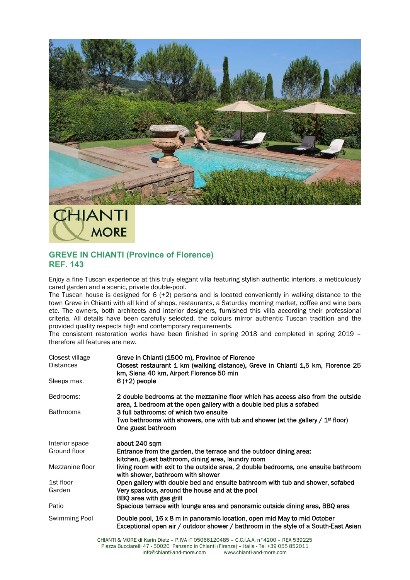

## **ITVALL MORE**

## **GREVE IN CHIANTI (Province of Florence) REF. 143**

Enjoy a fine Tuscan experience at this truly elegant villa featuring stylish authentic interiors, a meticulously cared garden and a scenic, private double-pool.

The Tuscan house is designed for 6 (+2) persons and is located conveniently in walking distance to the town Greve in Chianti with all kind of shops, restaurants, a Saturday morning market, coffee and wine bars etc. The owners, both architects and interior designers, furnished this villa according their professional criteria. All details have been carefully selected, the colours mirror authentic Tuscan tradition and the provided quality respects high end contemporary requirements.

The consistent restoration works have been finished in spring 2018 and completed in spring 2019 – therefore all features are new.

| Closest village<br><b>Distances</b> | Greve in Chianti (1500 m), Province of Florence<br>Closest restaurant 1 km (walking distance), Greve in Chianti 1,5 km, Florence 25<br>km, Siena 40 km, Airport Florence 50 min |
|-------------------------------------|---------------------------------------------------------------------------------------------------------------------------------------------------------------------------------|
| Sleeps max.                         | $6 (+2)$ people                                                                                                                                                                 |
| Bedrooms:                           | 2 double bedrooms at the mezzanine floor which has access also from the outside<br>area, 1 bedroom at the open gallery with a double bed plus a sofabed                         |
| <b>Bathrooms</b>                    | 3 full bathrooms: of which two ensuite                                                                                                                                          |
|                                     | Two bathrooms with showers, one with tub and shower (at the gallery / $1st$ floor)<br>One guest bathroom                                                                        |
| Interior space                      | about 240 sqm                                                                                                                                                                   |
| Ground floor                        | Entrance from the garden, the terrace and the outdoor dining area:<br>kitchen, guest bathroom, dining area, laundry room                                                        |
| Mezzanine floor                     | living room with exit to the outside area, 2 double bedrooms, one ensuite bathroom<br>with shower, bathroom with shower                                                         |
| 1st floor                           | Open gallery with double bed and ensuite bathroom with tub and shower, sofabed                                                                                                  |
| Garden                              | Very spacious, around the house and at the pool<br>BBQ area with gas grill                                                                                                      |
| Patio                               | Spacious terrace with lounge area and panoramic outside dining area, BBQ area                                                                                                   |
| Swimming Pool                       | Double pool, 16 x 8 m in panoramic location, open mid May to mid October<br>Exceptional open air / outdoor shower / bathroom in the style of a South-East Asian                 |